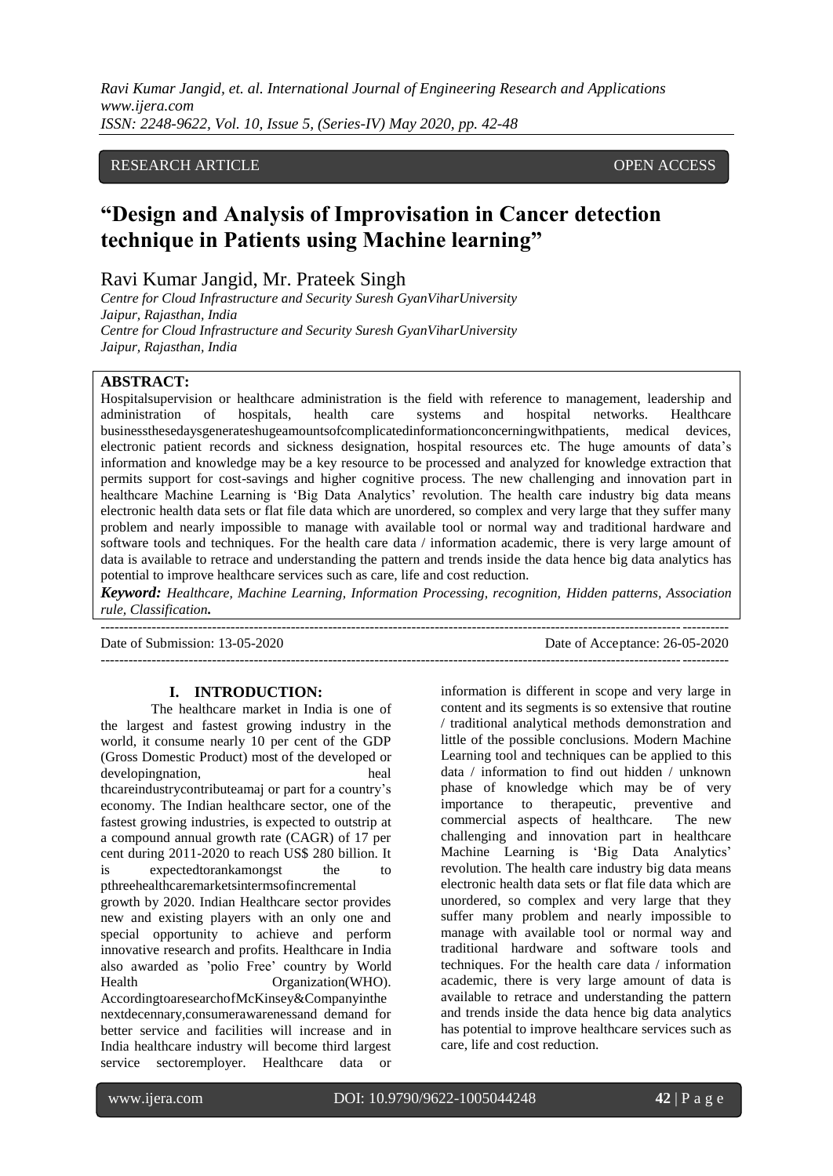*Ravi Kumar Jangid, et. al. International Journal of Engineering Research and Applications www.ijera.com ISSN: 2248-9622, Vol. 10, Issue 5, (Series-IV) May 2020, pp. 42-48*

# RESEARCH ARTICLE **CONSERVERS** OPEN ACCESS

# **"Design and Analysis of Improvisation in Cancer detection technique in Patients using Machine learning"**

Ravi Kumar Jangid, Mr. Prateek Singh

*Centre for Cloud Infrastructure and Security Suresh GyanViharUniversity Jaipur, Rajasthan, India Centre for Cloud Infrastructure and Security Suresh GyanViharUniversity Jaipur, Rajasthan, India*

## **ABSTRACT:**

Hospitalsupervision or healthcare administration is the field with reference to management, leadership and administration of hospitals, health care systems and hospital networks. Healthcare businessthesedaysgenerateshugeamountsofcomplicatedinformationconcerningwithpatients, medical devices, electronic patient records and sickness designation, hospital resources etc. The huge amounts of data"s information and knowledge may be a key resource to be processed and analyzed for knowledge extraction that permits support for cost-savings and higher cognitive process. The new challenging and innovation part in healthcare Machine Learning is 'Big Data Analytics' revolution. The health care industry big data means electronic health data sets or flat file data which are unordered, so complex and very large that they suffer many problem and nearly impossible to manage with available tool or normal way and traditional hardware and software tools and techniques. For the health care data / information academic, there is very large amount of data is available to retrace and understanding the pattern and trends inside the data hence big data analytics has potential to improve healthcare services such as care, life and cost reduction.

*Keyword: Healthcare, Machine Learning, Information Processing, recognition, Hidden patterns, Association rule, Classification.* ---------------------------------------------------------------------------------------------------------------------------------------

---------------------------------------------------------------------------------------------------------------------------------------

Date of Submission: 13-05-2020 Date of Acceptance: 26-05-2020

#### **I. INTRODUCTION:**

The healthcare market in India is one of the largest and fastest growing industry in the world, it consume nearly 10 per cent of the GDP (Gross Domestic Product) most of the developed or developing nation, the contract of the contract of the contract of the contract of the contract of the contract of the contract of the contract of the contract of the contract of the contract of the contract of the contrac thcareindustrycontributeamaj or part for a country"s economy. The Indian healthcare sector, one of the fastest growing industries, is expected to outstrip at a compound annual growth rate (CAGR) of 17 per cent during 2011-2020 to reach US\$ 280 billion. It is expected to rank amongst the pthreehealthcaremarketsintermsofincremental growth by 2020. Indian Healthcare sector provides new and existing players with an only one and special opportunity to achieve and perform innovative research and profits. Healthcare in India also awarded as "polio Free" country by World Health Organization(WHO). AccordingtoaresearchofMcKinsey&Companyinthe nextdecennary,consumerawarenessand demand for better service and facilities will increase and in India healthcare industry will become third largest service sectoremployer. Healthcare data or

information is different in scope and very large in content and its segments is so extensive that routine / traditional analytical methods demonstration and little of the possible conclusions. Modern Machine Learning tool and techniques can be applied to this data / information to find out hidden / unknown phase of knowledge which may be of very importance to therapeutic, preventive and commercial aspects of healthcare*.* The new challenging and innovation part in healthcare Machine Learning is "Big Data Analytics" revolution. The health care industry big data means electronic health data sets or flat file data which are unordered, so complex and very large that they suffer many problem and nearly impossible to manage with available tool or normal way and traditional hardware and software tools and techniques. For the health care data / information academic, there is very large amount of data is available to retrace and understanding the pattern and trends inside the data hence big data analytics has potential to improve healthcare services such as care, life and cost reduction.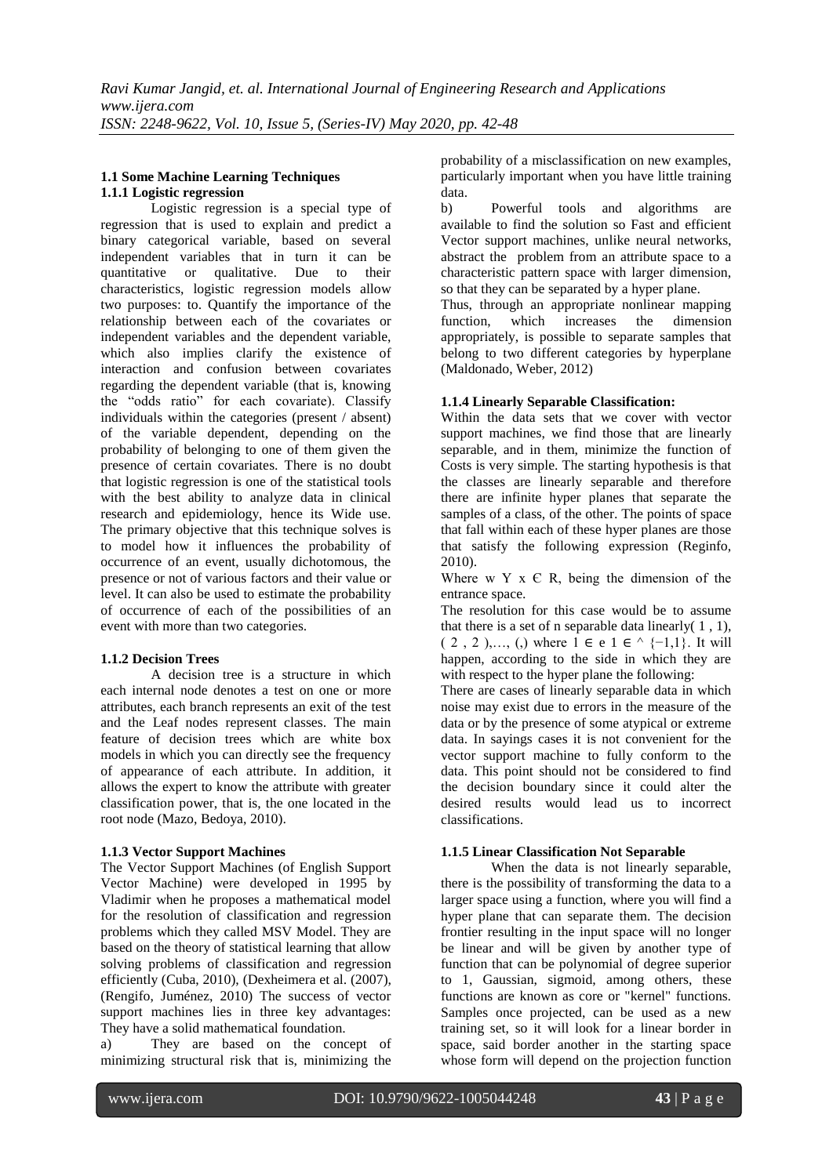## **1.1 Some Machine Learning Techniques 1.1.1 Logistic regression**

Logistic regression is a special type of regression that is used to explain and predict a binary categorical variable, based on several independent variables that in turn it can be quantitative or qualitative. Due to their characteristics, logistic regression models allow two purposes: to. Quantify the importance of the relationship between each of the covariates or independent variables and the dependent variable, which also implies clarify the existence of interaction and confusion between covariates regarding the dependent variable (that is, knowing the "odds ratio" for each covariate). Classify individuals within the categories (present / absent) of the variable dependent, depending on the probability of belonging to one of them given the presence of certain covariates. There is no doubt that logistic regression is one of the statistical tools with the best ability to analyze data in clinical research and epidemiology, hence its Wide use. The primary objective that this technique solves is to model how it influences the probability of occurrence of an event, usually dichotomous, the presence or not of various factors and their value or level. It can also be used to estimate the probability of occurrence of each of the possibilities of an event with more than two categories.

# **1.1.2 Decision Trees**

A decision tree is a structure in which each internal node denotes a test on one or more attributes, each branch represents an exit of the test and the Leaf nodes represent classes. The main feature of decision trees which are white box models in which you can directly see the frequency of appearance of each attribute. In addition, it allows the expert to know the attribute with greater classification power, that is, the one located in the root node (Mazo, Bedoya, 2010).

# **1.1.3 Vector Support Machines**

The Vector Support Machines (of English Support Vector Machine) were developed in 1995 by Vladimir when he proposes a mathematical model for the resolution of classification and regression problems which they called MSV Model. They are based on the theory of statistical learning that allow solving problems of classification and regression efficiently (Cuba, 2010), (Dexheimera et al. (2007), (Rengifo, Juménez, 2010) The success of vector support machines lies in three key advantages: They have a solid mathematical foundation.

a) They are based on the concept of minimizing structural risk that is, minimizing the

probability of a misclassification on new examples, particularly important when you have little training data.

b) Powerful tools and algorithms are available to find the solution so Fast and efficient Vector support machines, unlike neural networks, abstract the problem from an attribute space to a characteristic pattern space with larger dimension, so that they can be separated by a hyper plane.

Thus, through an appropriate nonlinear mapping function, which increases the dimension appropriately, is possible to separate samples that belong to two different categories by hyperplane (Maldonado, Weber, 2012)

## **1.1.4 Linearly Separable Classification:**

Within the data sets that we cover with vector support machines, we find those that are linearly separable, and in them, minimize the function of Costs is very simple. The starting hypothesis is that the classes are linearly separable and therefore there are infinite hyper planes that separate the samples of a class, of the other. The points of space that fall within each of these hyper planes are those that satisfy the following expression (Reginfo, 2010).

Where w Y  $x \in R$ , being the dimension of the entrance space.

The resolution for this case would be to assume that there is a set of n separable data linearly  $(1, 1)$ ,  $(2, 2)$ ,  $(3)$ , where  $1 \in e$  1  $e^{\Lambda}$  {-1,1}. It will happen, according to the side in which they are with respect to the hyper plane the following:

There are cases of linearly separable data in which noise may exist due to errors in the measure of the data or by the presence of some atypical or extreme data. In sayings cases it is not convenient for the vector support machine to fully conform to the data. This point should not be considered to find the decision boundary since it could alter the desired results would lead us to incorrect classifications.

# **1.1.5 Linear Classification Not Separable**

When the data is not linearly separable, there is the possibility of transforming the data to a larger space using a function, where you will find a hyper plane that can separate them. The decision frontier resulting in the input space will no longer be linear and will be given by another type of function that can be polynomial of degree superior to 1, Gaussian, sigmoid, among others, these functions are known as core or "kernel" functions. Samples once projected, can be used as a new training set, so it will look for a linear border in space, said border another in the starting space whose form will depend on the projection function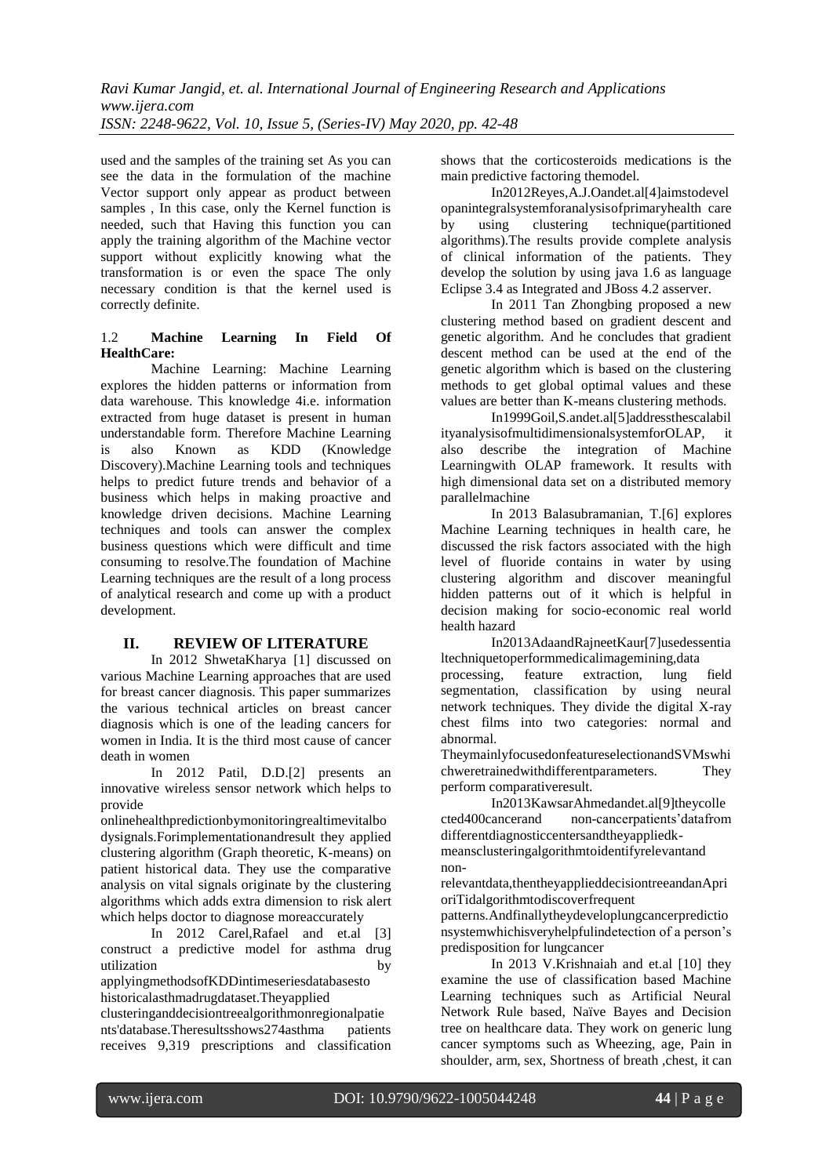used and the samples of the training set As you can see the data in the formulation of the machine Vector support only appear as product between samples , In this case, only the Kernel function is needed, such that Having this function you can apply the training algorithm of the Machine vector support without explicitly knowing what the transformation is or even the space The only necessary condition is that the kernel used is correctly definite.

## 1.2 **Machine Learning In Field Of HealthCare:**

Machine Learning: Machine Learning explores the hidden patterns or information from data warehouse. This knowledge 4i.e. information extracted from huge dataset is present in human understandable form. Therefore Machine Learning is also Known as KDD (Knowledge Discovery).Machine Learning tools and techniques helps to predict future trends and behavior of a business which helps in making proactive and knowledge driven decisions. Machine Learning techniques and tools can answer the complex business questions which were difficult and time consuming to resolve.The foundation of Machine Learning techniques are the result of a long process of analytical research and come up with a product development.

# **II. REVIEW OF LITERATURE**

In 2012 ShwetaKharya [1] discussed on various Machine Learning approaches that are used for breast cancer diagnosis. This paper summarizes the various technical articles on breast cancer diagnosis which is one of the leading cancers for women in India. It is the third most cause of cancer death in women

In 2012 [Patil, D.D.\[](http://ieeexplore.ieee.org/search/searchresult.jsp?searchWithin=p_Authors%3A.QT.Patil%2C%20D.D..QT.&searchWithin=p_Author_Ids%3A38520723100&newsearch=true)2] presents an innovative wireless sensor network which helps to provide

onlinehealthpredictionbymonitoringrealtimevitalbo dysignals.Forimplementationandresult they applied clustering algorithm (Graph theoretic, K-means) on patient historical data. They use the comparative analysis on vital signals originate by the clustering algorithms which adds extra dimension to risk alert which helps doctor to diagnose moreaccurately

In 2012 Carel,Rafael and et.al [3] construct a predictive model for asthma drug utilization by

applyingmethodsofKDDintimeseriesdatabasesto historicalasthmadrugdataset.Theyapplied

clusteringanddecisiontreealgorithmonregionalpatie nts'database.Theresultsshows274asthma patients receives 9,319 prescriptions and classification shows that the corticosteroids medications is the main predictive factoring themodel.

In2012Reyes,A.J.Oandet.al[4]aimstodevel opanintegralsystemforanalysisofprimaryhealth care by using clustering technique(partitioned algorithms).The results provide complete analysis of clinical information of the patients. They develop the solution by using java 1.6 as language Eclipse 3.4 as Integrated and JBoss 4.2 asserver.

In 2011 Tan Zhongbing proposed a new clustering method based on gradient descent and genetic algorithm. And he concludes that gradient descent method can be used at the end of the genetic algorithm which is based on the clustering methods to get global optimal values and these values are better than K-means clustering methods.

In199[9Goil,S.a](http://ieeexplore.ieee.org/search/searchresult.jsp?searchWithin=p_Authors%3A.QT.Goil%2C%20S..QT.&searchWithin=p_Author_Ids%3A37350490200&newsearch=true)ndet.al[5]addressthescalabil ityanalysisofmultidimensionalsystemforOLAP, it also describe the integration of Machine Learningwith OLAP framework. It results with high dimensional data set on a distributed memory parallelmachine

In 2013 [Balasubramanian, T.\[](http://ieeexplore.ieee.org/search/searchresult.jsp?searchWithin=p_Authors%3A.QT.Balasubramanian%2C%20T..QT.&searchWithin=p_Author_Ids%3A38244184300&newsearch=true)6] explores Machine Learning techniques in health care, he discussed the risk factors associated with the high level of fluoride contains in water by using clustering algorithm and discover meaningful hidden patterns out of it which is helpful in decision making for socio-economic real world health hazard

In2013AdaandRajneetKaur[7]usedessentia ltechniquetoperformmedicalimagemining,data processing, feature extraction, lung field segmentation, classification by using neural network techniques. They divide the digital X-ray chest films into two categories: normal and abnormal.

TheymainlyfocusedonfeatureselectionandSVMswhi chweretrainedwithdifferentparameters. They perform comparativeresult.

In2013KawsarAhmedandet.al[9]theycolle cted400cancerand non-cancerpatients"datafrom differentdiagnosticcentersandtheyappliedkmeansclusteringalgorithmtoidentifyrelevantand non-

relevantdata,thentheyapplieddecisiontreeandanApri oriTidalgorithmtodiscoverfrequent

patterns.Andfinallytheydeveloplungcancerpredictio nsystemwhichisveryhelpfulindetection of a person"s predisposition for lungcancer

In 2013 V.Krishnaiah and et.al [10] they examine the use of classification based Machine Learning techniques such as Artificial Neural Network Rule based, Naïve Bayes and Decision tree on healthcare data. They work on generic lung cancer symptoms such as Wheezing, age, Pain in shoulder, arm, sex, Shortness of breath ,chest, it can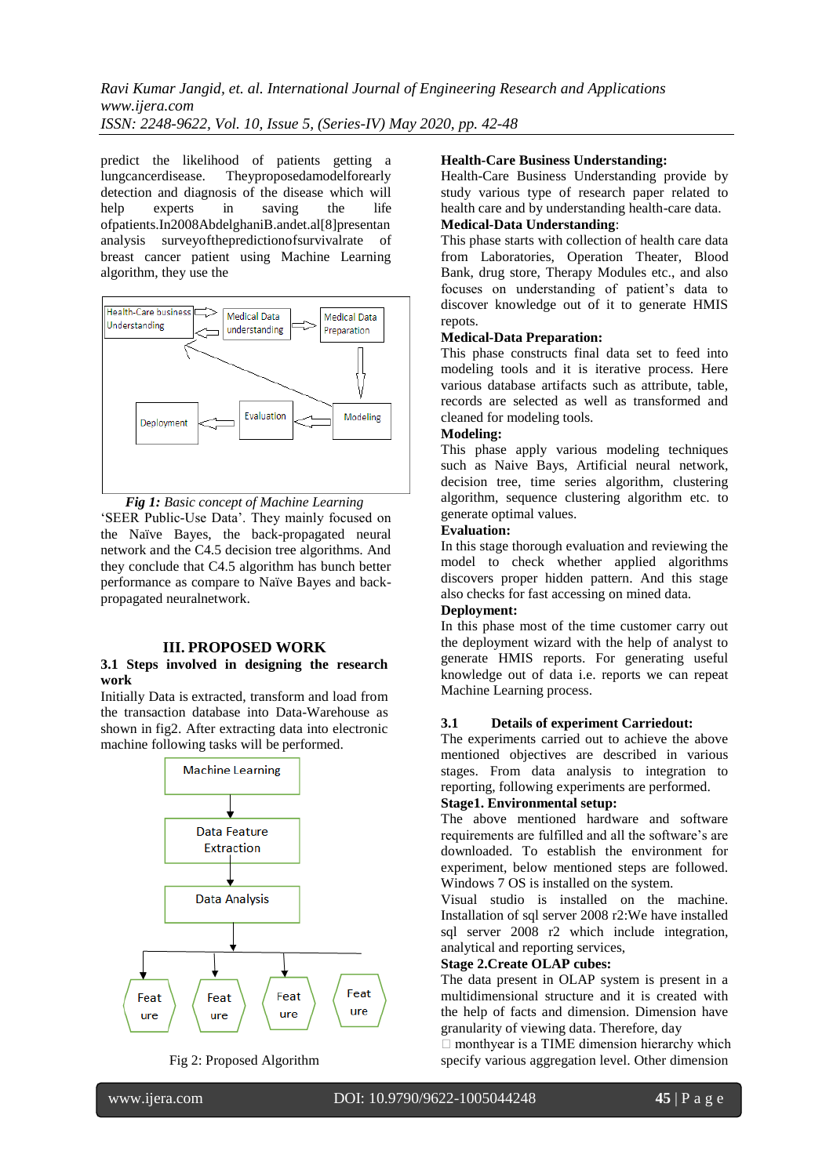*Ravi Kumar Jangid, et. al. International Journal of Engineering Research and Applications www.ijera.com ISSN: 2248-9622, Vol. 10, Issue 5, (Series-IV) May 2020, pp. 42-48*

predict the likelihood of patients getting a lungcancerdisease. Theyproposedamodelforearly detection and diagnosis of the disease which will help experts in saving the life ofpatients.In2008AbdelghaniB.andet.al[8]presentan analysis surveyofthepredictionofsurvivalrate of breast cancer patient using Machine Learning algorithm, they use the



*Fig 1: Basic concept of Machine Learning* 'SEER Public-Use Data'. They mainly focused on the Naïve Bayes, the back-propagated neural network and the C4.5 decision tree algorithms. And they conclude that C4.5 algorithm has bunch better performance as compare to Naïve Bayes and backpropagated neuralnetwork.

#### **III. PROPOSED WORK**

#### **3.1 Steps involved in designing the research work**

Initially Data is extracted, transform and load from the transaction database into Data-Warehouse as shown in fig2. After extracting data into electronic machine following tasks will be performed.



Fig 2: Proposed Algorithm

#### **Health-Care Business Understanding:**

Health-Care Business Understanding provide by study various type of research paper related to health care and by understanding health-care data. **Medical-Data Understanding**:

This phase starts with collection of health care data from Laboratories, Operation Theater, Blood Bank, drug store, Therapy Modules etc., and also focuses on understanding of patient"s data to discover knowledge out of it to generate HMIS repots.

#### **Medical-Data Preparation:**

This phase constructs final data set to feed into modeling tools and it is iterative process. Here various database artifacts such as attribute, table, records are selected as well as transformed and cleaned for modeling tools.

## **Modeling:**

This phase apply various modeling techniques such as Naive Bays, Artificial neural network, decision tree, time series algorithm, clustering algorithm, sequence clustering algorithm etc. to generate optimal values.

#### **Evaluation:**

In this stage thorough evaluation and reviewing the model to check whether applied algorithms discovers proper hidden pattern. And this stage also checks for fast accessing on mined data.

#### **Deployment:**

In this phase most of the time customer carry out the deployment wizard with the help of analyst to generate HMIS reports. For generating useful knowledge out of data i.e. reports we can repeat Machine Learning process.

#### **3.1 Details of experiment Carriedout:**

The experiments carried out to achieve the above mentioned objectives are described in various stages. From data analysis to integration to reporting, following experiments are performed.

## **Stage1. Environmental setup:**

The above mentioned hardware and software requirements are fulfilled and all the software"s are downloaded. To establish the environment for experiment, below mentioned steps are followed. Windows 7 OS is installed on the system.

Visual studio is installed on the machine. Installation of sql server 2008 r2:We have installed sql server 2008 r2 which include integration, analytical and reporting services,

## **Stage 2.Create OLAP cubes:**

The data present in OLAP system is present in a multidimensional structure and it is created with the help of facts and dimension. Dimension have granularity of viewing data. Therefore, day

 $\Box$  monthyear is a TIME dimension hierarchy which specify various aggregation level. Other dimension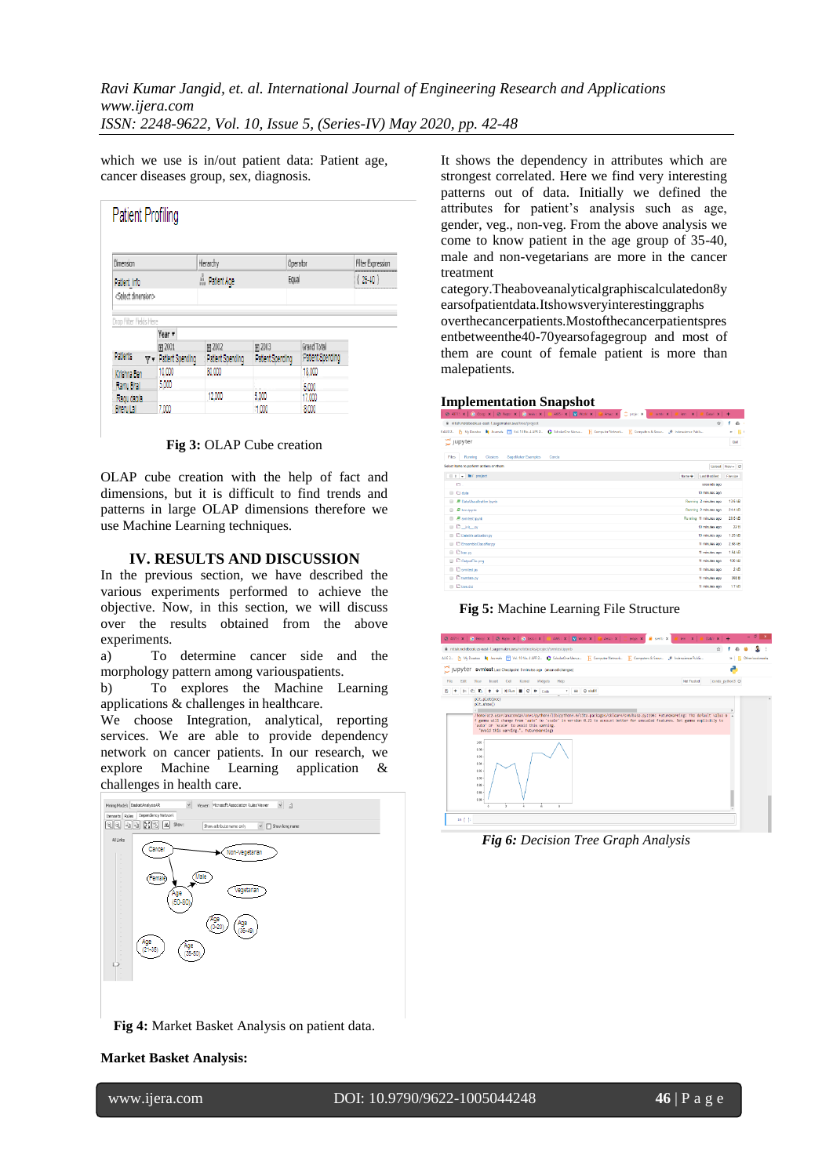which we use is in/out patient data: Patient age, cancer diseases group, sex, diagnosis.

| Dimension                       |  |                             |  | Herarchy             |                  |       | Operator         | Filter Expression |
|---------------------------------|--|-----------------------------|--|----------------------|------------------|-------|------------------|-------------------|
| Patient Into                    |  |                             |  | <b>A</b> Patient Age |                  | Equal |                  | $(25-40)$         |
| <select dimension=""></select>  |  |                             |  |                      |                  |       |                  |                   |
|                                 |  |                             |  |                      |                  |       |                  |                   |
| Drop Filter Fields Here         |  | Year +                      |  |                      |                  |       |                  |                   |
|                                 |  | 田 2001                      |  | 田 2002               | 田 2003           |       | Grand Total      |                   |
| Patients                        |  | $\nabla$ = Patient Spending |  | Patient Spending     | Patient Spending |       | Patient Spending |                   |
|                                 |  |                             |  |                      |                  |       | 18,000           |                   |
|                                 |  | 10,000                      |  | 80.000               |                  |       |                  |                   |
| Krishna Ben<br><b>Ranu Bhal</b> |  | 5.000                       |  |                      |                  |       |                  |                   |
| <b>Ragu dagla</b>               |  |                             |  | 12.000               | 5,000            |       | 5.000<br>17.000  |                   |

**Fig 3:** OLAP Cube creation

OLAP cube creation with the help of fact and dimensions, but it is difficult to find trends and patterns in large OLAP dimensions therefore we use Machine Learning techniques.

## **IV. RESULTS AND DISCUSSION**

In the previous section, we have described the various experiments performed to achieve the objective. Now, in this section, we will discuss over the results obtained from the above experiments.

a) To determine cancer side and the morphology pattern among variouspatients.

b) To explores the Machine Learning applications & challenges in healthcare.

We choose Integration, analytical, reporting services. We are able to provide dependency network on cancer patients. In our research, we explore Machine Learning application & challenges in health care.



**Fig 4:** Market Basket Analysis on patient data.

It shows the dependency in attributes which are strongest correlated. Here we find very interesting patterns out of data. Initially we defined the attributes for patient"s analysis such as age, gender, veg., non-veg. From the above analysis we come to know patient in the age group of 35-40, male and non-vegetarians are more in the cancer treatment

category.Theaboveanalyticalgraphiscalculatedon8y earsofpatientdata.Itshowsveryinterestinggraphs overthecancerpatients.Mostofthecancerpatientspres entbetweenthe40-70yearsofagegroup and most of them are count of female patient is more than malepatients.

#### **Implementation Snapshot**

| C 40713 X   G Googl X   C Bapor X   G taski: X   L ANS / X   V Worki X   L Amaz X   C project X<br>symbol X<br>kre X   A Data V X   +        |                      |                  |
|----------------------------------------------------------------------------------------------------------------------------------------------|----------------------|------------------|
| @ nitish.notebook.us-east-1.sagemaker.aws/tree/project                                                                                       | Y.                   | $E_1$<br>÷       |
| 84UG2. Py My Doctoc M Journals FT Vol. 10 No. 4 APR 2. C ScholarOne Manus. E Computer Network. E Computers is Secur. JP Indensitience Publis |                      | $\frac{1}{2}$    |
| C jupyter                                                                                                                                    |                      | Out              |
| Running<br><b>Clusters</b><br>SageMaker Examples<br>Fles<br>Conda                                                                            |                      |                  |
| Salact bans to parform actions on them.                                                                                                      | Upload               | $New = 12$       |
| $0 \rightarrow$ <b>la</b> / project<br>Name 4                                                                                                | <b>Last Madified</b> | Fre size         |
| D.                                                                                                                                           | seconds soo          |                  |
| <b>EL CJ</b> data                                                                                                                            | 10 minutes ago       |                  |
| <b>Running 2 minutes ago</b><br>R DataVisualzation.loynb                                                                                     |                      | 13.6 kB          |
| Running 2 minutes ago<br><b>B</b> knownb                                                                                                     |                      | 24 4 kB          |
| Renning 11 minutes ago<br><b>B</b> symtest loyab                                                                                             |                      | 20.5 kB          |
| $B$ $D$ $m$ $p$                                                                                                                              | 10 minutes ago       | 22B              |
| <b>D</b> DateVisualization.pv                                                                                                                | 10 minutes ago       | 1.25 kB          |
| <b>III</b> EnsembleClassifier py                                                                                                             | 11 minutes ago       | 2.68 kB          |
| <b>B</b> Dkmpy                                                                                                                               | 11 minutes ago       | 1.94 kB          |
| <b>B</b> OutputFile.png                                                                                                                      | 11 minutes ago       | 130 kB           |
| <b>B</b> D sympest.py                                                                                                                        | 11 minutes ago       | 2kB              |
| $\Box$ testdata py                                                                                                                           | 11 minutes sgo       | 308 B            |
| <b>B</b> tree.dot                                                                                                                            | 11 minutes age       | 1.7 <sub>k</sub> |

**Fig 5:** Machine Learning File Structure

| <b>@ 40711 X   @ Googl X   @ Repor X   @ testic X   T AWS/ X   V Work! X   M Awaz: X   C projec X  </b>                                                                                                                                                                                                                                                                                                                                                                                                                                 | knn x   @ DataY x   +<br><b>R</b> synta X |                              |
|-----------------------------------------------------------------------------------------------------------------------------------------------------------------------------------------------------------------------------------------------------------------------------------------------------------------------------------------------------------------------------------------------------------------------------------------------------------------------------------------------------------------------------------------|-------------------------------------------|------------------------------|
| @ nitish.notebook.us-east-1.sagemaker.aws/notebooks/project/symtest.jpynb                                                                                                                                                                                                                                                                                                                                                                                                                                                               | 슙                                         |                              |
| AUG 2. Py My Docstoc My Journals FT Vol. 10 No. 4 APR 2. C ScholarChe Manus. F, Computer Network. F, Computers & Secur. A Indensience Publis                                                                                                                                                                                                                                                                                                                                                                                            |                                           | » <b>III</b> Other bookmarks |
| JUDYTET symtest Last Checkpoint 9 minutes ago (unsaved changes)                                                                                                                                                                                                                                                                                                                                                                                                                                                                         |                                           |                              |
| Kernel<br>Widgets<br>Help<br>Fin<br>F/D<br><b>New</b><br>Insert<br>Cell                                                                                                                                                                                                                                                                                                                                                                                                                                                                 | conda python3 Q<br>Not Trusted            |                              |
| <b>NRm BC</b> W<br>v El Orbdif<br>Cada<br>plt.plot(acc)<br>$p$ ]t.show $()$<br>/home/ec2-user/anaconda3/envs/python3/lib/python3.6/site-packages/sklearn/sym/base.pv:196: FutureNarning: The default value o<br>f gamma will change from 'auto' to 'scale' in version 0.22 to account better for unscaled features. Set gamma explicitly to<br>'auto' on 'scale' to avoid this warning.<br>Tavoid this warning.". FutureMarning)<br>1:00<br>0.98<br>0.95<br>0.94<br>$0.92 -$<br>$0.90 -$<br>$0.88 -$<br>$0.86 -$<br>$0.84 -$<br>In [ ]: |                                           |                              |

*Fig 6: Decision Tree Graph Analysis*

#### **Market Basket Analysis:**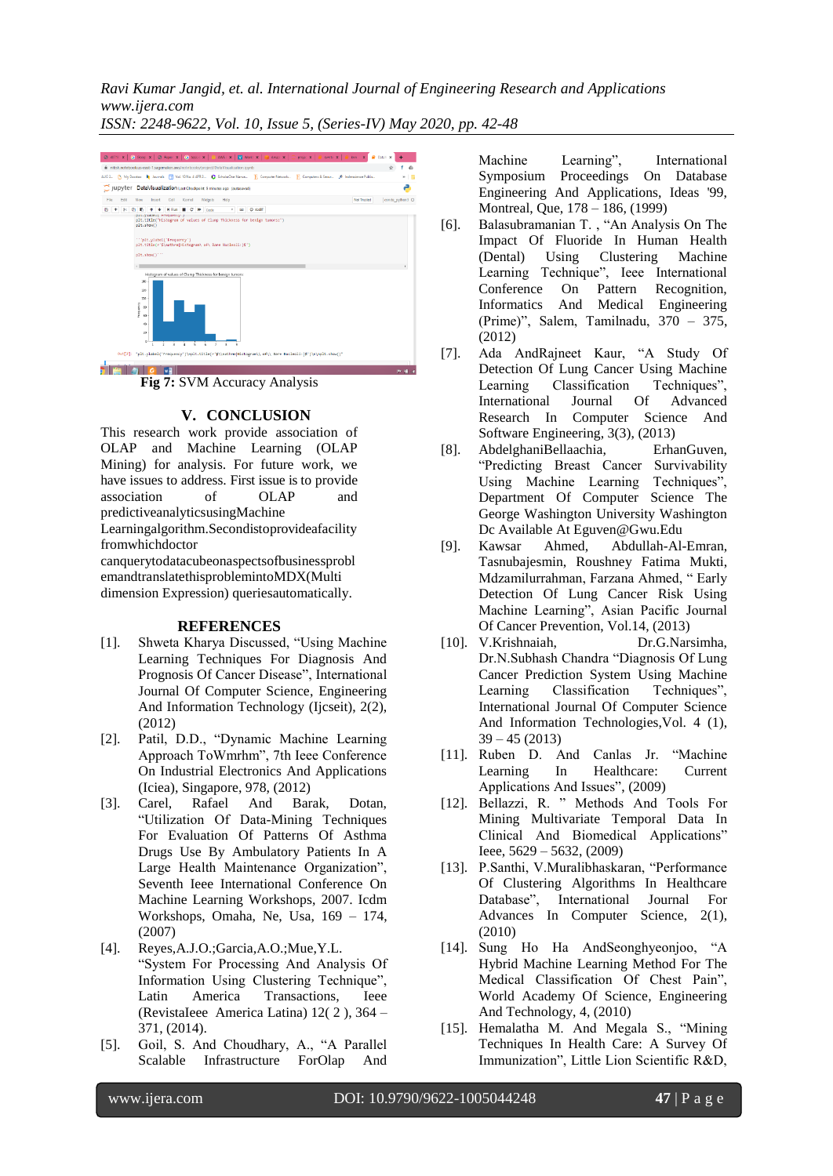*Ravi Kumar Jangid, et. al. International Journal of Engineering Research and Applications www.ijera.com*

*ISSN: 2248-9622, Vol. 10, Issue 5, (Series-IV) May 2020, pp. 42-48*



**Fig 7:** SVM Accuracy Analysis

# **V. CONCLUSION**

This research work provide association of OLAP and Machine Learning (OLAP Mining) for analysis. For future work, we have issues to address. First issue is to provide association of OLAP and predictiveanalyticsusingMachine Learningalgorithm.Secondistoprovideafacility fromwhichdoctor canquerytodatacubeonaspectsofbusinessprobl

emandtranslatethisproblemintoMDX(Multi dimension Expression) queriesautomatically.

# **REFERENCES**

- [1]. Shweta Kharya Discussed, "Using Machine Learning Techniques For Diagnosis And Prognosis Of Cancer Disease", International Journal Of Computer Science, Engineering And Information Technology (Ijcseit), 2(2), (2012)
- [2]. Patil, D.D., "Dynamic Machine Learning Approach ToWmrhm", 7th Ieee Conference On Industrial Electronics And Applications (Iciea), Singapore, 978, (2012)
- [3]. Carel, Rafael And Barak, Dotan, "Utilization Of Data-Mining Techniques For Evaluation Of Patterns Of Asthma Drugs Use By Ambulatory Patients In A Large Health Maintenance Organization", Seventh Ieee International Conference On Machine Learning Workshops, 2007. Icdm Workshops, Omaha, Ne, Usa, 169 – 174, (2007)
- [4]. Reyes,A.J.O.;Garcia,A.O.;Mue,Y.L. "System For Processing And Analysis Of Information Using Clustering Technique", Latin America Transactions, Ieee (RevistaIeee America Latina) 12( 2 ), 364 – 371, (2014).
- [5]. Goil, S. And Choudhary, A., "A Parallel Scalable Infrastructure ForOlap And

Machine Learning", International Symposium Proceedings On Database Engineering And Applications, Ideas '99, Montreal, Que, 178 – 186, (1999)

- [6]. Balasubramanian T. , "An Analysis On The Impact Of Fluoride In Human Health (Dental) Using Clustering Machine Learning Technique", Ieee International Conference On Pattern Recognition, Informatics And Medical Engineering (Prime)", Salem, Tamilnadu, 370 – 375, (2012)
- [7]. Ada AndRajneet Kaur, "A Study Of Detection Of Lung Cancer Using Machine Learning Classification Techniques", International Journal Of Advanced Research In Computer Science And Software Engineering, 3(3), (2013)
- [8]. AbdelghaniBellaachia, ErhanGuven, "Predicting Breast Cancer Survivability Using Machine Learning Techniques", Department Of Computer Science The George Washington University Washington Dc Available At Eguven@Gwu.Edu
- [9]. Kawsar Ahmed, Abdullah-Al-Emran, Tasnubajesmin, Roushney Fatima Mukti, Mdzamilurrahman, Farzana Ahmed, " Early Detection Of Lung Cancer Risk Using Machine Learning", Asian Pacific Journal Of Cancer Prevention, Vol.14, (2013)
- [10]. V.Krishnaiah, Dr.G.Narsimha, Dr.N.Subhash Chandra "Diagnosis Of Lung Cancer Prediction System Using Machine<br>Learning Classification Techniques", Learning Classification International Journal Of Computer Science And Information Technologies,Vol. 4 (1), 39 – 45 (2013)
- [11]. Ruben D. And Canlas Jr. "Machine Learning In Healthcare: Current Applications And Issues", (2009)
- [12]. Bellazzi, R. " Methods And Tools For Mining Multivariate Temporal Data In Clinical And Biomedical Applications" Ieee, 5629 – 5632, (2009)
- [13]. P.Santhi, V.Muralibhaskaran, "Performance Of Clustering Algorithms In Healthcare Database", International Journal For Advances In Computer Science, 2(1), (2010)
- [14]. Sung Ho Ha AndSeonghyeonjoo, "A Hybrid Machine Learning Method For The Medical Classification Of Chest Pain", World Academy Of Science, Engineering And Technology, 4, (2010)
- [15]. Hemalatha M. And Megala S., "Mining Techniques In Health Care: A Survey Of Immunization", Little Lion Scientific R&D,